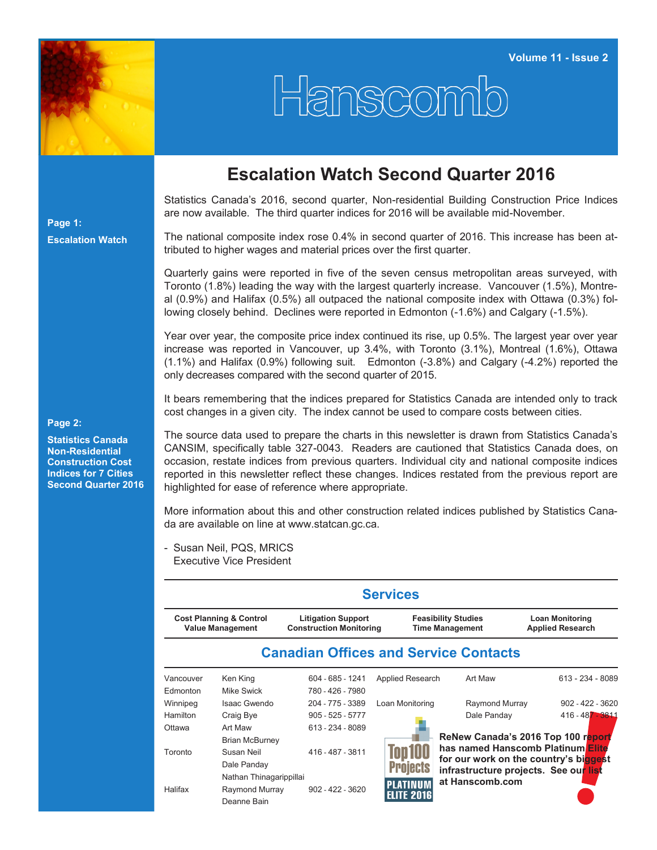

Hanscomb

## **Escalation Watch Second Quarter 2016**

Statistics Canada's 2016, second quarter, Non-residential Building Construction Price Indices are now available. The third quarter indices for 2016 will be available mid-November.

The national composite index rose 0.4% in second quarter of 2016. This increase has been attributed to higher wages and material prices over the first quarter.

Quarterly gains were reported in five of the seven census metropolitan areas surveyed, with Toronto (1.8%) leading the way with the largest quarterly increase. Vancouver (1.5%), Montreal (0.9%) and Halifax (0.5%) all outpaced the national composite index with Ottawa (0.3%) following closely behind. Declines were reported in Edmonton (-1.6%) and Calgary (-1.5%).

Year over year, the composite price index continued its rise, up 0.5%. The largest year over year increase was reported in Vancouver, up 3.4%, with Toronto (3.1%), Montreal (1.6%), Ottawa (1.1%) and Halifax (0.9%) following suit. Edmonton (-3.8%) and Calgary (-4.2%) reported the only decreases compared with the second quarter of 2015.

It bears remembering that the indices prepared for Statistics Canada are intended only to track cost changes in a given city. The index cannot be used to compare costs between cities.

**Page 2:**

**Page 1:**

**Escalation Watch**

**Statistics Canada Non-Residential Construction Cost Indices for 7 Cities Second Quarter 2016** The source data used to prepare the charts in this newsletter is drawn from Statistics Canada's CANSIM, specifically table 327-0043. Readers are cautioned that Statistics Canada does, on occasion, restate indices from previous quarters. Individual city and national composite indices reported in this newsletter reflect these changes. Indices restated from the previous report are highlighted for ease of reference where appropriate.

More information about this and other construction related indices published by Statistics Canada are available on line at [www.statcan.gc.ca.](http://www.statcan.gc.ca)

- Susan Neil, PQS, MRICS Executive Vice President

|                                                               |                         |                                                             | <b>Services</b>   |                                                                            |                                                   |  |  |  |
|---------------------------------------------------------------|-------------------------|-------------------------------------------------------------|-------------------|----------------------------------------------------------------------------|---------------------------------------------------|--|--|--|
| <b>Cost Planning &amp; Control</b><br><b>Value Management</b> |                         | <b>Litigation Support</b><br><b>Construction Monitoring</b> |                   | <b>Feasibility Studies</b><br><b>Time Management</b>                       | <b>Loan Monitoring</b><br><b>Applied Research</b> |  |  |  |
|                                                               |                         |                                                             |                   | <b>Canadian Offices and Service Contacts</b>                               |                                                   |  |  |  |
| Vancouver                                                     | Ken King                | 604 - 685 - 1241                                            | Applied Research  | Art Maw                                                                    | $613 - 234 - 8089$                                |  |  |  |
| Edmonton                                                      | Mike Swick              | 780 - 426 - 7980                                            |                   |                                                                            |                                                   |  |  |  |
| Winnipeg                                                      | Isaac Gwendo            | 204 - 775 - 3389                                            | Loan Monitoring   | Raymond Murray                                                             | $902 - 422 - 3620$                                |  |  |  |
| Hamilton                                                      | Craig Bye               | $905 - 525 - 5777$                                          |                   | Dale Panday                                                                | 416 - 487 - 3811                                  |  |  |  |
| Ottawa                                                        | Art Maw                 | 613 - 234 - 8089                                            |                   |                                                                            |                                                   |  |  |  |
|                                                               | <b>Brian McBurney</b>   |                                                             |                   |                                                                            | ReNew Canada's 2016 Top 100 report                |  |  |  |
| Toronto                                                       | Susan Neil              | 416 - 487 - 3811                                            |                   | has named Hanscomb Platinum Elite<br>for our work on the country's biggest |                                                   |  |  |  |
|                                                               | Dale Panday             |                                                             | Projects          | infrastructure projects. See our list                                      |                                                   |  |  |  |
|                                                               | Nathan Thinagarippillai |                                                             |                   | at Hanscomb.com                                                            |                                                   |  |  |  |
| Halifax                                                       | Raymond Murray          | $902 - 422 - 3620$                                          | PLATINUM          |                                                                            |                                                   |  |  |  |
|                                                               | Deanne Bain             |                                                             | <b>ELITE 2016</b> |                                                                            |                                                   |  |  |  |